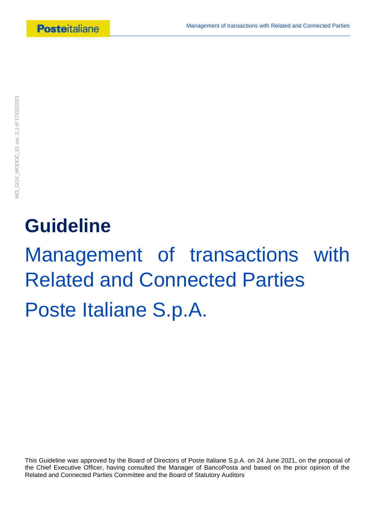# **Guideline**

Management of transactions with Related and Connected Parties Poste Italiane S.p.A.

This Guideline was approved by the Board of Directors of Poste Italiane S.p.A. on 24 June 2021, on the proposal of the Chief Executive Officer, having consulted the Manager of BancoPosta and based on the prior opinion of the Related and Connected Parties Committee and the Board of Statutory Auditors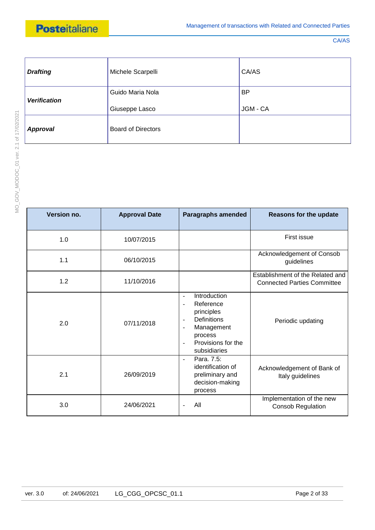| <b>Drafting</b>     | Michele Scarpelli         | CA/AS     |
|---------------------|---------------------------|-----------|
| <b>Verification</b> | Guido Maria Nola          | <b>BP</b> |
|                     | Giuseppe Lasco            | JGM - CA  |
| <b>Approval</b>     | <b>Board of Directors</b> |           |

| Version no. | <b>Approval Date</b> | <b>Paragraphs amended</b>                                                                                                                                                                                                                  | <b>Reasons for the update</b>                                          |
|-------------|----------------------|--------------------------------------------------------------------------------------------------------------------------------------------------------------------------------------------------------------------------------------------|------------------------------------------------------------------------|
| 1.0         | 10/07/2015           |                                                                                                                                                                                                                                            | First issue                                                            |
| 1.1         | 06/10/2015           |                                                                                                                                                                                                                                            | Acknowledgement of Consob<br>guidelines                                |
| 1.2         | 11/10/2016           |                                                                                                                                                                                                                                            | Establishment of the Related and<br><b>Connected Parties Committee</b> |
| 2.0         | 07/11/2018           | Introduction<br>$\blacksquare$<br>Reference<br>$\blacksquare$<br>principles<br><b>Definitions</b><br>$\overline{\phantom{a}}$<br>Management<br>$\overline{\phantom{a}}$<br>process<br>Provisions for the<br>$\blacksquare$<br>subsidiaries | Periodic updating                                                      |
| 2.1         | 26/09/2019           | Para. 7.5:<br>$\sim$<br>identification of<br>preliminary and<br>decision-making<br>process                                                                                                                                                 | Acknowledgement of Bank of<br>Italy guidelines                         |
| 3.0         | 24/06/2021           | All                                                                                                                                                                                                                                        | Implementation of the new<br><b>Consob Regulation</b>                  |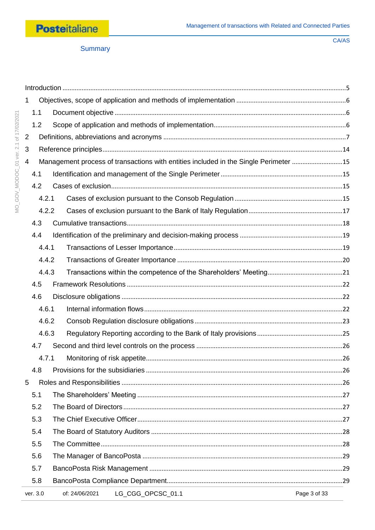

Summary

| $\mathbf 1$ |          |                                                                                      |              |
|-------------|----------|--------------------------------------------------------------------------------------|--------------|
|             | 1.1      |                                                                                      |              |
|             | 1.2      |                                                                                      |              |
| 2           |          |                                                                                      |              |
| 3           |          |                                                                                      |              |
| 4           |          | Management process of transactions with entities included in the Single Perimeter 15 |              |
|             | 4.1      |                                                                                      |              |
|             | 4.2      |                                                                                      |              |
|             | 4.2.1    |                                                                                      |              |
|             | 4.2.2    |                                                                                      |              |
|             | 4.3      |                                                                                      |              |
|             | 4.4      |                                                                                      |              |
|             | 4.4.1    |                                                                                      |              |
|             | 4.4.2    |                                                                                      |              |
|             | 4.4.3    |                                                                                      |              |
|             | 4.5      |                                                                                      |              |
|             | 4.6      |                                                                                      |              |
|             | 4.6.1    |                                                                                      |              |
|             | 4.6.2    |                                                                                      |              |
|             | 4.6.3    |                                                                                      |              |
|             | 4.7      |                                                                                      |              |
|             | 4.7.1    |                                                                                      |              |
|             | 4.8      |                                                                                      |              |
| 5           |          |                                                                                      |              |
|             | 5.1      |                                                                                      |              |
|             | 5.2      |                                                                                      |              |
|             | 5.3      |                                                                                      |              |
|             | 5.4      |                                                                                      |              |
|             | 5.5      |                                                                                      |              |
|             | 5.6      |                                                                                      |              |
|             | 5.7      |                                                                                      |              |
|             | 5.8      |                                                                                      |              |
|             | ver. 3.0 | LG_CGG_OPCSC_01.1<br>of: 24/06/2021                                                  | Page 3 of 33 |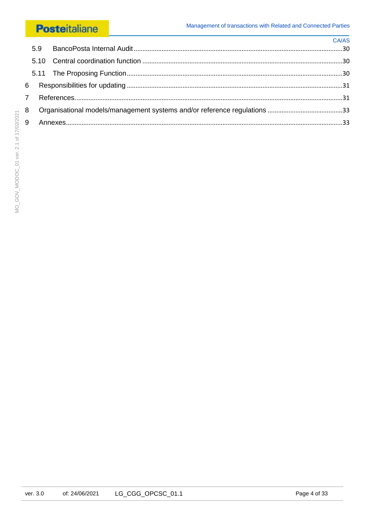|   | $C\Delta/AS$ |
|---|--------------|
|   |              |
|   |              |
|   |              |
|   |              |
|   |              |
| 8 |              |
|   |              |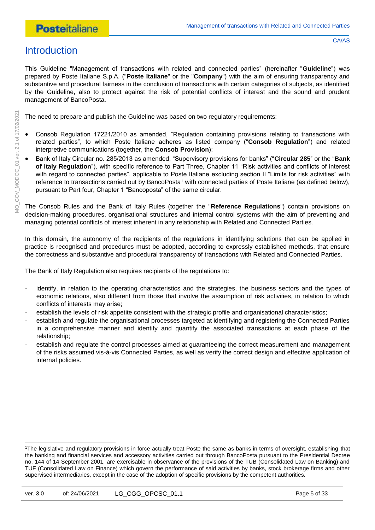# <span id="page-4-0"></span>**Introduction**

This Guideline "Management of transactions with related and connected parties" (hereinafter "**Guideline**") was prepared by Poste Italiane S.p.A. ("**Poste Italiane**" or the "**Company**") with the aim of ensuring transparency and substantive and procedural fairness in the conclusion of transactions with certain categories of subjects, as identified by the Guideline, also to protect against the risk of potential conflicts of interest and the sound and prudent management of BancoPosta.

The need to prepare and publish the Guideline was based on two regulatory requirements:

- Consob Regulation 17221/2010 as amended, "Regulation containing provisions relating to transactions with related parties", to which Poste Italiane adheres as listed company ("**Consob Regulation**") and related interpretive communications (together, the **Consob Provision**);
- Bank of Italy Circular no. 285/2013 as amended, "Supervisory provisions for banks" ("**Circular 285**" or the "**Bank of Italy Regulation**"), with specific reference to Part Three, Chapter 11 "Risk activities and conflicts of interest with regard to connected parties", applicable to Poste Italiane excluding section II "Limits for risk activities" with reference to transactions carried out by BancoPosta<sup>1</sup> with connected parties of Poste Italiane (as defined below), pursuant to Part four, Chapter 1 "Bancoposta" of the same circular.

The Consob Rules and the Bank of Italy Rules (together the "**Reference Regulations**") contain provisions on decision-making procedures, organisational structures and internal control systems with the aim of preventing and managing potential conflicts of interest inherent in any relationship with Related and Connected Parties.

In this domain, the autonomy of the recipients of the regulations in identifying solutions that can be applied in practice is recognised and procedures must be adopted, according to expressly established methods, that ensure the correctness and substantive and procedural transparency of transactions with Related and Connected Parties.

The Bank of Italy Regulation also requires recipients of the regulations to:

- identify, in relation to the operating characteristics and the strategies, the business sectors and the types of economic relations, also different from those that involve the assumption of risk activities, in relation to which conflicts of interests may arise;
- establish the levels of risk appetite consistent with the strategic profile and organisational characteristics;
- establish and regulate the organisational processes targeted at identifying and registering the Connected Parties in a comprehensive manner and identify and quantify the associated transactions at each phase of the relationship;
- establish and regulate the control processes aimed at guaranteeing the correct measurement and management of the risks assumed vis-à-vis Connected Parties, as well as verify the correct design and effective application of internal policies.

<sup>1</sup>The legislative and regulatory provisions in force actually treat Poste the same as banks in terms of oversight, establishing that the banking and financial services and accessory activities carried out through BancoPosta pursuant to the Presidential Decree no. 144 of 14 September 2001, are exercisable in observance of the provisions of the TUB (Consolidated Law on Banking) and TUF (Consolidated Law on Finance) which govern the performance of said activities by banks, stock brokerage firms and other supervised intermediaries, except in the case of the adoption of specific provisions by the competent authorities.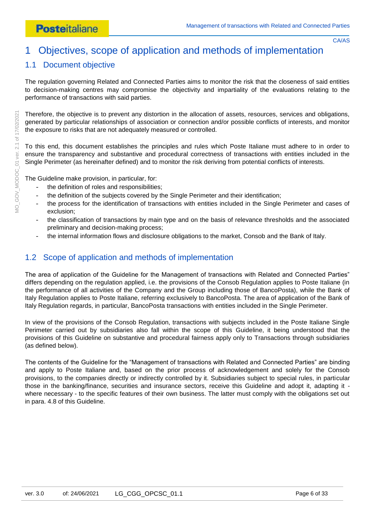# <span id="page-5-0"></span>1 Objectives, scope of application and methods of implementation

# <span id="page-5-1"></span>1.1 Document objective

The regulation governing Related and Connected Parties aims to monitor the risk that the closeness of said entities to decision-making centres may compromise the objectivity and impartiality of the evaluations relating to the performance of transactions with said parties.

Therefore, the objective is to prevent any distortion in the allocation of assets, resources, services and obligations, generated by particular relationships of association or connection and/or possible conflicts of interests, and monitor the exposure to risks that are not adequately measured or controlled.

To this end, this document establishes the principles and rules which Poste Italiane must adhere to in order to ensure the transparency and substantive and procedural correctness of transactions with entities included in the Single Perimeter (as hereinafter defined) and to monitor the risk deriving from potential conflicts of interests.

The Guideline make provision, in particular, for:

- the definition of roles and responsibilities;
- the definition of the subjects covered by the Single Perimeter and their identification;
- the process for the identification of transactions with entities included in the Single Perimeter and cases of exclusion;
- the classification of transactions by main type and on the basis of relevance thresholds and the associated preliminary and decision-making process;
- the internal information flows and disclosure obligations to the market, Consob and the Bank of Italy.

### <span id="page-5-2"></span>1.2 Scope of application and methods of implementation

The area of application of the Guideline for the Management of transactions with Related and Connected Parties" differs depending on the regulation applied, i.e. the provisions of the Consob Regulation applies to Poste Italiane (in the performance of all activities of the Company and the Group including those of BancoPosta), while the Bank of Italy Regulation applies to Poste Italiane, referring exclusively to BancoPosta. The area of application of the Bank of Italy Regulation regards, in particular, BancoPosta transactions with entities included in the Single Perimeter.

In view of the provisions of the Consob Regulation, transactions with subjects included in the Poste Italiane Single Perimeter carried out by subsidiaries also fall within the scope of this Guideline, it being understood that the provisions of this Guideline on substantive and procedural fairness apply only to Transactions through subsidiaries (as defined below).

The contents of the Guideline for the "Management of transactions with Related and Connected Parties" are binding and apply to Poste Italiane and, based on the prior process of acknowledgement and solely for the Consob provisions, to the companies directly or indirectly controlled by it. Subsidiaries subject to special rules, in particular those in the banking/finance, securities and insurance sectors, receive this Guideline and adopt it, adapting it where necessary - to the specific features of their own business. The latter must comply with the obligations set out in para. 4.8 of this Guideline.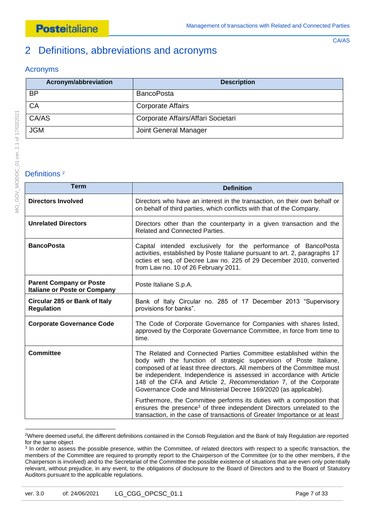# <span id="page-6-0"></span>2 Definitions, abbreviations and acronyms

### Acronyms

| Acronym/abbreviation | <b>Description</b>                 |
|----------------------|------------------------------------|
| <b>BP</b>            | <b>BancoPosta</b>                  |
| CA                   | <b>Corporate Affairs</b>           |
| CA/AS                | Corporate Affairs/Affari Societari |
| <b>JGM</b>           | Joint General Manager              |

#### Definitions<sup>2</sup>

| <b>Term</b>                                                           | <b>Definition</b>                                                                                                                                                                                                                                                                                                                                                                                                                  |
|-----------------------------------------------------------------------|------------------------------------------------------------------------------------------------------------------------------------------------------------------------------------------------------------------------------------------------------------------------------------------------------------------------------------------------------------------------------------------------------------------------------------|
| <b>Directors Involved</b>                                             | Directors who have an interest in the transaction, on their own behalf or<br>on behalf of third parties, which conflicts with that of the Company.                                                                                                                                                                                                                                                                                 |
| <b>Unrelated Directors</b>                                            | Directors other than the counterparty in a given transaction and the<br><b>Related and Connected Parties.</b>                                                                                                                                                                                                                                                                                                                      |
| <b>BancoPosta</b>                                                     | Capital intended exclusively for the performance of BancoPosta<br>activities, established by Poste Italiane pursuant to art. 2, paragraphs 17<br>octies et seq. of Decree Law no. 225 of 29 December 2010, converted<br>from Law no. 10 of 26 February 2011.                                                                                                                                                                       |
| <b>Parent Company or Poste</b><br><b>Italiane or Poste or Company</b> | Poste Italiane S.p.A.                                                                                                                                                                                                                                                                                                                                                                                                              |
| Circular 285 or Bank of Italy<br><b>Regulation</b>                    | Bank of Italy Circular no. 285 of 17 December 2013 "Supervisory<br>provisions for banks".                                                                                                                                                                                                                                                                                                                                          |
| <b>Corporate Governance Code</b>                                      | The Code of Corporate Governance for Companies with shares listed,<br>approved by the Corporate Governance Committee, in force from time to<br>time.                                                                                                                                                                                                                                                                               |
| <b>Committee</b>                                                      | The Related and Connected Parties Committee established within the<br>body with the function of strategic supervision of Poste Italiane,<br>composed of at least three directors. All members of the Committee must<br>be independent. Independence is assessed in accordance with Article<br>148 of the CFA and Article 2, Recommendation 7, of the Corporate<br>Governance Code and Ministerial Decree 169/2020 (as applicable). |
|                                                                       | Furthermore, the Committee performs its duties with a composition that<br>ensures the presence <sup>3</sup> of three independent Directors unrelated to the<br>transaction, in the case of transactions of Greater Importance or at least                                                                                                                                                                                          |

<sup>2</sup>Where deemed useful, the different definitions contained in the Consob Regulation and the Bank of Italy Regulation are reported for the same object

<sup>&</sup>lt;sup>3</sup> In order to assess the possible presence, within the Committee, of related directors with respect to a specific transaction, the members of the Committee are required to promptly report to the Chairperson of the Committee (or to the other members, if the Chairperson is involved) and to the Secretariat of the Committee the possible existence of situations that are even only potentially relevant, without prejudice, in any event, to the obligations of disclosure to the Board of Directors and to the Board of Statutory Auditors pursuant to the applicable regulations.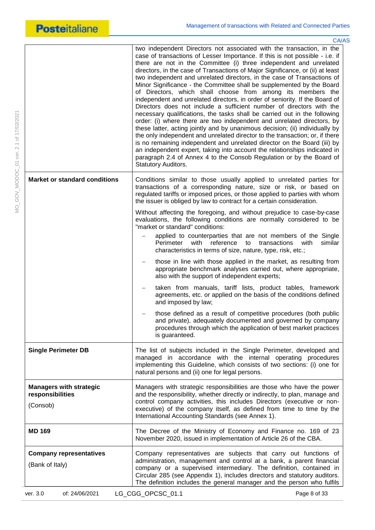MO\_GOV\_MODOC\_01 ver. 2.1 of 17/02/2021

MO\_GOV\_MODOC\_01 ver. 2.1 of 17/02/2021

|                                                    | <b>CA/AS</b>                                                                                                                                                                                                                                                                                                                                                                                                                                                                                                                                                                                                                                                                                                                                                                                                                                                                                                                                                                                                                                                                                                                                                                                                                                                           |
|----------------------------------------------------|------------------------------------------------------------------------------------------------------------------------------------------------------------------------------------------------------------------------------------------------------------------------------------------------------------------------------------------------------------------------------------------------------------------------------------------------------------------------------------------------------------------------------------------------------------------------------------------------------------------------------------------------------------------------------------------------------------------------------------------------------------------------------------------------------------------------------------------------------------------------------------------------------------------------------------------------------------------------------------------------------------------------------------------------------------------------------------------------------------------------------------------------------------------------------------------------------------------------------------------------------------------------|
|                                                    | two independent Directors not associated with the transaction, in the<br>case of transactions of Lesser Importance. If this is not possible - i.e. if<br>there are not in the Committee (i) three independent and unrelated<br>directors, in the case of Transactions of Major Significance, or (ii) at least<br>two independent and unrelated directors, in the case of Transactions of<br>Minor Significance - the Committee shall be supplemented by the Board<br>of Directors, which shall choose from among its members the<br>independent and unrelated directors, in order of seniority. If the Board of<br>Directors does not include a sufficient number of directors with the<br>necessary qualifications, the tasks shall be carried out in the following<br>order: (i) where there are two independent and unrelated directors, by<br>these latter, acting jointly and by unanimous decision; (ii) individually by<br>the only independent and unrelated director to the transaction; or, if there<br>is no remaining independent and unrelated director on the Board (iii) by<br>an independent expert, taking into account the relationships indicated in<br>paragraph 2.4 of Annex 4 to the Consob Regulation or by the Board of<br>Statutory Auditors. |
| <b>Market or standard conditions</b>               | Conditions similar to those usually applied to unrelated parties for<br>transactions of a corresponding nature, size or risk, or based on<br>regulated tariffs or imposed prices, or those applied to parties with whom<br>the issuer is obliged by law to contract for a certain consideration.                                                                                                                                                                                                                                                                                                                                                                                                                                                                                                                                                                                                                                                                                                                                                                                                                                                                                                                                                                       |
|                                                    | Without affecting the foregoing, and without prejudice to case-by-case<br>evaluations, the following conditions are normally considered to be<br>"market or standard" conditions:                                                                                                                                                                                                                                                                                                                                                                                                                                                                                                                                                                                                                                                                                                                                                                                                                                                                                                                                                                                                                                                                                      |
|                                                    | applied to counterparties that are not members of the Single<br>reference<br>Perimeter<br>with<br>to<br>transactions<br>with<br>similar<br>characteristics in terms of size, nature, type, risk, etc.;                                                                                                                                                                                                                                                                                                                                                                                                                                                                                                                                                                                                                                                                                                                                                                                                                                                                                                                                                                                                                                                                 |
|                                                    | those in line with those applied in the market, as resulting from<br>appropriate benchmark analyses carried out, where appropriate,<br>also with the support of independent experts;                                                                                                                                                                                                                                                                                                                                                                                                                                                                                                                                                                                                                                                                                                                                                                                                                                                                                                                                                                                                                                                                                   |
|                                                    | taken from manuals, tariff lists, product tables, framework<br>agreements, etc. or applied on the basis of the conditions defined<br>and imposed by law;                                                                                                                                                                                                                                                                                                                                                                                                                                                                                                                                                                                                                                                                                                                                                                                                                                                                                                                                                                                                                                                                                                               |
|                                                    | those defined as a result of competitive procedures (both public<br>and private), adequately documented and governed by company<br>procedures through which the application of best market practices<br>is guaranteed.                                                                                                                                                                                                                                                                                                                                                                                                                                                                                                                                                                                                                                                                                                                                                                                                                                                                                                                                                                                                                                                 |
| <b>Single Perimeter DB</b>                         | The list of subjects included in the Single Perimeter, developed and<br>managed in accordance with the internal operating procedures<br>implementing this Guideline, which consists of two sections: (i) one for<br>natural persons and (ii) one for legal persons.                                                                                                                                                                                                                                                                                                                                                                                                                                                                                                                                                                                                                                                                                                                                                                                                                                                                                                                                                                                                    |
| <b>Managers with strategic</b><br>responsibilities | Managers with strategic responsibilities are those who have the power<br>and the responsibility, whether directly or indirectly, to plan, manage and<br>control company activities, this includes Directors (executive or non-                                                                                                                                                                                                                                                                                                                                                                                                                                                                                                                                                                                                                                                                                                                                                                                                                                                                                                                                                                                                                                         |
| (Consob)                                           | executive) of the company itself, as defined from time to time by the<br>International Accounting Standards (see Annex 1).                                                                                                                                                                                                                                                                                                                                                                                                                                                                                                                                                                                                                                                                                                                                                                                                                                                                                                                                                                                                                                                                                                                                             |
| <b>MD 169</b>                                      | The Decree of the Ministry of Economy and Finance no. 169 of 23<br>November 2020, issued in implementation of Article 26 of the CBA.                                                                                                                                                                                                                                                                                                                                                                                                                                                                                                                                                                                                                                                                                                                                                                                                                                                                                                                                                                                                                                                                                                                                   |
| <b>Company representatives</b><br>(Bank of Italy)  | Company representatives are subjects that carry out functions of<br>administration, management and control at a bank, a parent financial<br>company or a supervised intermediary. The definition, contained in<br>Circular 285 (see Appendix 1), includes directors and statutory auditors.<br>The definition includes the general manager and the person who fulfils                                                                                                                                                                                                                                                                                                                                                                                                                                                                                                                                                                                                                                                                                                                                                                                                                                                                                                  |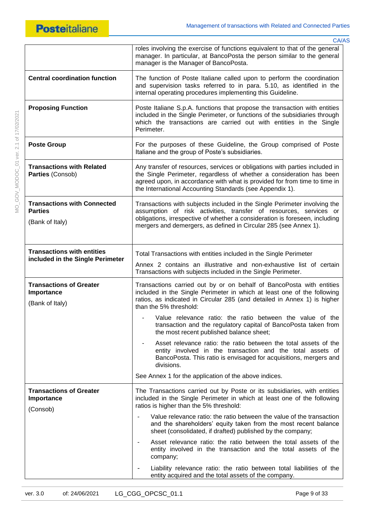

|                                                                         | CA/AS                                                                                                                                                                                                                                                                                                                                                                                                    |
|-------------------------------------------------------------------------|----------------------------------------------------------------------------------------------------------------------------------------------------------------------------------------------------------------------------------------------------------------------------------------------------------------------------------------------------------------------------------------------------------|
|                                                                         | roles involving the exercise of functions equivalent to that of the general<br>manager. In particular, at BancoPosta the person similar to the general<br>manager is the Manager of BancoPosta.                                                                                                                                                                                                          |
| <b>Central coordination function</b>                                    | The function of Poste Italiane called upon to perform the coordination<br>and supervision tasks referred to in para. 5.10, as identified in the<br>internal operating procedures implementing this Guideline.                                                                                                                                                                                            |
| <b>Proposing Function</b>                                               | Poste Italiane S.p.A. functions that propose the transaction with entities<br>included in the Single Perimeter, or functions of the subsidiaries through<br>which the transactions are carried out with entities in the Single<br>Perimeter.                                                                                                                                                             |
| <b>Poste Group</b>                                                      | For the purposes of these Guideline, the Group comprised of Poste<br>Italiane and the group of Poste's subsidiaries.                                                                                                                                                                                                                                                                                     |
| <b>Transactions with Related</b><br>Parties (Consob)                    | Any transfer of resources, services or obligations with parties included in<br>the Single Perimeter, regardless of whether a consideration has been<br>agreed upon, in accordance with what is provided for from time to time in<br>the International Accounting Standards (see Appendix 1).                                                                                                             |
| <b>Transactions with Connected</b><br><b>Parties</b><br>(Bank of Italy) | Transactions with subjects included in the Single Perimeter involving the<br>assumption of risk activities, transfer of resources, services or<br>obligations, irrespective of whether a consideration is foreseen, including<br>mergers and demergers, as defined in Circular 285 (see Annex 1).                                                                                                        |
| <b>Transactions with entities</b><br>included in the Single Perimeter   | Total Transactions with entities included in the Single Perimeter<br>Annex 2 contains an illustrative and non-exhaustive list of certain<br>Transactions with subjects included in the Single Perimeter.                                                                                                                                                                                                 |
| <b>Transactions of Greater</b><br>Importance<br>(Bank of Italy)         | Transactions carried out by or on behalf of BancoPosta with entities<br>included in the Single Perimeter in which at least one of the following<br>ratios, as indicated in Circular 285 (and detailed in Annex 1) is higher<br>than the 5% threshold:                                                                                                                                                    |
|                                                                         | - Value relevance ratio: the ratio between the value of the<br>transaction and the regulatory capital of BancoPosta taken from<br>the most recent published balance sheet;                                                                                                                                                                                                                               |
|                                                                         | Asset relevance ratio: the ratio between the total assets of the<br>entity involved in the transaction and the total assets of<br>BancoPosta. This ratio is envisaged for acquisitions, mergers and<br>divisions.                                                                                                                                                                                        |
|                                                                         | See Annex 1 for the application of the above indices.                                                                                                                                                                                                                                                                                                                                                    |
| <b>Transactions of Greater</b><br>Importance<br>(Consob)                | The Transactions carried out by Poste or its subsidiaries, with entities<br>included in the Single Perimeter in which at least one of the following<br>ratios is higher than the 5% threshold:<br>Value relevance ratio: the ratio between the value of the transaction<br>and the shareholders' equity taken from the most recent balance<br>sheet (consolidated, if drafted) published by the company; |
|                                                                         | Asset relevance ratio: the ratio between the total assets of the<br>entity involved in the transaction and the total assets of the<br>company;                                                                                                                                                                                                                                                           |
|                                                                         | Liability relevance ratio: the ratio between total liabilities of the<br>entity acquired and the total assets of the company.                                                                                                                                                                                                                                                                            |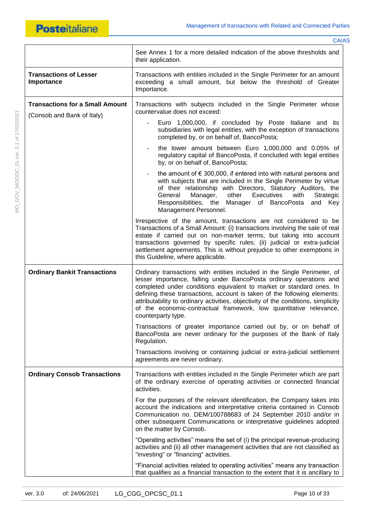MO\_GOV\_MODOC\_01 ver. 2.1 of 17/02/2021

MO\_GOV\_MODOC\_01 ver. 2.1 of 17/02/2021

|                                                                      | See Annex 1 for a more detailed indication of the above thresholds and<br>their application.                                                                                                                                                                                                                                                                                                                                                                                         |
|----------------------------------------------------------------------|--------------------------------------------------------------------------------------------------------------------------------------------------------------------------------------------------------------------------------------------------------------------------------------------------------------------------------------------------------------------------------------------------------------------------------------------------------------------------------------|
| <b>Transactions of Lesser</b><br>Importance                          | Transactions with entities included in the Single Perimeter for an amount<br>exceeding a small amount, but below the threshold of Greater<br>Importance.                                                                                                                                                                                                                                                                                                                             |
| <b>Transactions for a Small Amount</b><br>(Consob and Bank of Italy) | Transactions with subjects included in the Single Perimeter whose<br>countervalue does not exceed:                                                                                                                                                                                                                                                                                                                                                                                   |
|                                                                      | Euro 1,000,000, if concluded by Poste Italiane and its<br>subsidiaries with legal entities, with the exception of transactions<br>completed by, or on behalf of, BancoPosta;                                                                                                                                                                                                                                                                                                         |
|                                                                      | the lower amount between Euro 1,000,000 and 0.05% of<br>regulatory capital of BancoPosta, if concluded with legal entities<br>by, or on behalf of, BancoPosta;                                                                                                                                                                                                                                                                                                                       |
|                                                                      | the amount of $\epsilon$ 300,000, if entered into with natural persons and<br>with subjects that are included in the Single Perimeter by virtue<br>of their relationship with Directors, Statutory Auditors, the<br>General<br>Manager,<br>other<br>Executives<br>Strategic<br>with<br>Responsibilities, the Manager of BancoPosta<br>and Key<br>Management Personnel.                                                                                                               |
|                                                                      | Irrespective of the amount, transactions are not considered to be<br>Transactions of a Small Amount: (i) transactions involving the sale of real<br>estate if carried out on non-market terms, but taking into account<br>transactions governed by specific rules; (ii) judicial or extra-judicial<br>settlement agreements. This is without prejudice to other exemptions in<br>this Guideline, where applicable.                                                                   |
| <b>Ordinary Bankit Transactions</b>                                  | Ordinary transactions with entities included in the Single Perimeter, of<br>lesser importance, falling under BancoPosta ordinary operations and<br>completed under conditions equivalent to market or standard ones. In<br>defining these transactions, account is taken of the following elements:<br>attributability to ordinary activities, objectivity of the conditions, simplicity<br>of the economic-contractual framework, low quantitative relevance,<br>counterparty type. |
|                                                                      | Transactions of greater importance carried out by, or on behalf of<br>BancoPosta are never ordinary for the purposes of the Bank of Italy<br>Regulation.                                                                                                                                                                                                                                                                                                                             |
|                                                                      | Transactions involving or containing judicial or extra-judicial settlement<br>agreements are never ordinary.                                                                                                                                                                                                                                                                                                                                                                         |
| <b>Ordinary Consob Transactions</b>                                  | Transactions with entities included in the Single Perimeter which are part<br>of the ordinary exercise of operating activities or connected financial<br>activities.                                                                                                                                                                                                                                                                                                                 |
|                                                                      | For the purposes of the relevant identification, the Company takes into<br>account the indications and interpretative criteria contained in Consob<br>Communication no. DEM/100788683 of 24 September 2010 and/or in<br>other subsequent Communications or interpretative guidelines adopted<br>on the matter by Consob.                                                                                                                                                             |
|                                                                      | "Operating activities" means the set of (i) the principal revenue-producing<br>activities and (ii) all other management activities that are not classified as<br>"investing" or "financing" activities.                                                                                                                                                                                                                                                                              |
|                                                                      | "Financial activities related to operating activities" means any transaction<br>that qualifies as a financial transaction to the extent that it is ancillary to                                                                                                                                                                                                                                                                                                                      |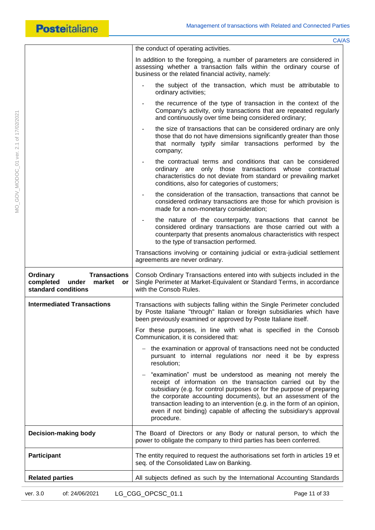|                                                                                              | CA/AS                                                                                                                                                                                                                                                                                                                                                                                                                                |
|----------------------------------------------------------------------------------------------|--------------------------------------------------------------------------------------------------------------------------------------------------------------------------------------------------------------------------------------------------------------------------------------------------------------------------------------------------------------------------------------------------------------------------------------|
|                                                                                              | the conduct of operating activities.                                                                                                                                                                                                                                                                                                                                                                                                 |
|                                                                                              | In addition to the foregoing, a number of parameters are considered in<br>assessing whether a transaction falls within the ordinary course of<br>business or the related financial activity, namely:                                                                                                                                                                                                                                 |
|                                                                                              | the subject of the transaction, which must be attributable to<br>ordinary activities;                                                                                                                                                                                                                                                                                                                                                |
|                                                                                              | the recurrence of the type of transaction in the context of the<br>Company's activity, only transactions that are repeated regularly<br>and continuously over time being considered ordinary;                                                                                                                                                                                                                                        |
|                                                                                              | the size of transactions that can be considered ordinary are only<br>those that do not have dimensions significantly greater than those<br>that normally typify similar transactions performed by the<br>company;                                                                                                                                                                                                                    |
|                                                                                              | the contractual terms and conditions that can be considered<br>ordinary are only those transactions whose contractual<br>characteristics do not deviate from standard or prevailing market<br>conditions, also for categories of customers;                                                                                                                                                                                          |
|                                                                                              | the consideration of the transaction, transactions that cannot be<br>considered ordinary transactions are those for which provision is<br>made for a non-monetary consideration;                                                                                                                                                                                                                                                     |
|                                                                                              | the nature of the counterparty, transactions that cannot be<br>considered ordinary transactions are those carried out with a<br>counterparty that presents anomalous characteristics with respect<br>to the type of transaction performed.                                                                                                                                                                                           |
|                                                                                              | Transactions involving or containing judicial or extra-judicial settlement<br>agreements are never ordinary.                                                                                                                                                                                                                                                                                                                         |
| <b>Transactions</b><br>Ordinary<br>completed<br>market<br>under<br>or<br>standard conditions | Consob Ordinary Transactions entered into with subjects included in the<br>Single Perimeter at Market-Equivalent or Standard Terms, in accordance<br>with the Consob Rules.                                                                                                                                                                                                                                                          |
| <b>Intermediated Transactions</b>                                                            | Transactions with subjects falling within the Single Perimeter concluded<br>by Poste Italiane "through" Italian or foreign subsidiaries which have<br>been previously examined or approved by Poste Italiane itself.                                                                                                                                                                                                                 |
|                                                                                              | For these purposes, in line with what is specified in the Consob<br>Communication, it is considered that:                                                                                                                                                                                                                                                                                                                            |
|                                                                                              | the examination or approval of transactions need not be conducted<br>pursuant to internal regulations nor need it be by express<br>resolution;                                                                                                                                                                                                                                                                                       |
|                                                                                              | "examination" must be understood as meaning not merely the<br>receipt of information on the transaction carried out by the<br>subsidiary (e.g. for control purposes or for the purpose of preparing<br>the corporate accounting documents), but an assessment of the<br>transaction leading to an intervention (e.g. in the form of an opinion,<br>even if not binding) capable of affecting the subsidiary's approval<br>procedure. |
| Decision-making body                                                                         | The Board of Directors or any Body or natural person, to which the<br>power to obligate the company to third parties has been conferred.                                                                                                                                                                                                                                                                                             |
| <b>Participant</b>                                                                           | The entity required to request the authorisations set forth in articles 19 et<br>seq. of the Consolidated Law on Banking.                                                                                                                                                                                                                                                                                                            |
| <b>Related parties</b>                                                                       | All subjects defined as such by the International Accounting Standards                                                                                                                                                                                                                                                                                                                                                               |
| of: 24/06/2021<br>ver. 3.0                                                                   | LG_CGG_OPCSC_01.1<br>Page 11 of 33                                                                                                                                                                                                                                                                                                                                                                                                   |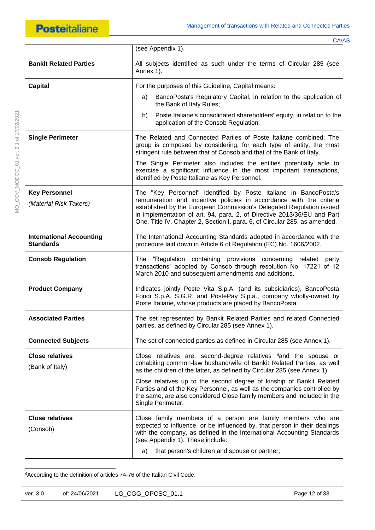|                               | CA/AS                                                                                                                                                                                                            |
|-------------------------------|------------------------------------------------------------------------------------------------------------------------------------------------------------------------------------------------------------------|
|                               | (see Appendix 1).                                                                                                                                                                                                |
| <b>Bankit Related Parties</b> | All subjects identified as such under the terms of Circular 285 (see<br>Annex 1).                                                                                                                                |
| <b>Capital</b>                | For the purposes of this Guideline, Capital means:                                                                                                                                                               |
|                               | BancoPosta's Regulatory Capital, in relation to the application of<br>a)<br>the Bank of Italy Rules;                                                                                                             |
|                               | Poste Italiane's consolidated shareholders' equity, in relation to the<br>b)<br>application of the Consob Regulation.                                                                                            |
| <b>Single Perimeter</b>       | The Related and Connected Parties of Poste Italiane combined; The<br>group is composed by considering, for each type of entity, the most<br>stringent rule between that of Consob and that of the Bank of Italy. |
|                               | The Single Perimeter also includes the entities potentially able to<br>exercise a significant influence in the most important transactions,<br>identified by Poste Italiane as Key Personnel.                    |
| <b>Key Personnel</b>          | The "Key Personnel" identified by Poste Italiane in BancoPosta's                                                                                                                                                 |

**Key Personnel** *(Material Risk Takers)* The "Key Personne remuneration and incentive policies in accordance with the criteria established by the European Commission's Delegated Regulation issued in implementation of art. 94, para. 2, of Directive 2013/36/EU and Part One, Title IV, Chapter 2, Section I, para. 6, of Circular 285, as amended.

**International Accounting Standards** The International Accounting Standards adopted in accordance with the procedure laid down in Article 6 of Regulation (EC) No. 1606/2002. **Consob Regulation The "Regulation containing provisions concerning related party** transactions" adopted by Consob through resolution No. 17221 of 12

March 2010 and subsequent amendments and additions. **Product Company Indicates jointly Poste Vita S.p.A.** (and its subsidiaries), BancoPosta Fondi S.p.A. S.G.R. and PostePay S.p.a., company wholly-owned by Poste Italiane, whose products are placed by BancoPosta.

**Associated Parties** The set represented by Bankit Related Parties and related Connected parties, as defined by Circular 285 (see Annex 1).

**Connected Subjects** The set of connected parties as defined in Circular 285 (see Annex 1). **Close relatives** 

Close relatives are, second-degree relatives <sup>4</sup>and the spouse or cohabiting common-law husband/wife of Bankit Related Parties, as well as the children of the latter, as defined by Circular 285 (see Annex 1).

> Close relatives up to the second degree of kinship of Bankit Related Parties and of the Key Personnel, as well as the companies controlled by the same, are also considered Close family members and included in the Single Perimeter.

**Close relatives**  (Consob) Close family members of a person are family members who are expected to influence, or be influenced by, that person in their dealings with the company, as defined in the International Accounting Standards (see Appendix 1). These include: a) that person's children and spouse or partner;

**.** 4According to the definition of articles 74-76 of the Italian Civil Code.

(Bank of Italy)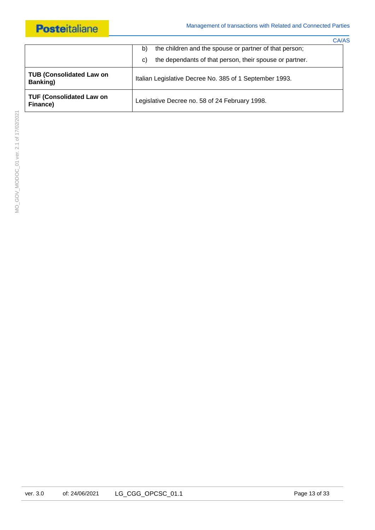|                                             |                                                                                                                               | <b>CA/AS</b> |
|---------------------------------------------|-------------------------------------------------------------------------------------------------------------------------------|--------------|
|                                             | the children and the spouse or partner of that person;<br>b)<br>the dependants of that person, their spouse or partner.<br>C) |              |
| <b>TUB (Consolidated Law on</b><br>Banking) | Italian Legislative Decree No. 385 of 1 September 1993.                                                                       |              |
| <b>TUF (Consolidated Law on</b><br>Finance) | Legislative Decree no. 58 of 24 February 1998.                                                                                |              |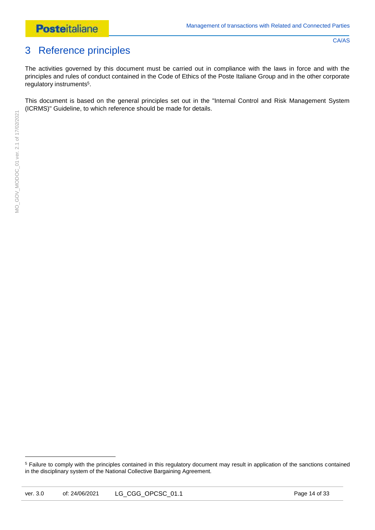# <span id="page-13-0"></span>3 Reference principles

CA/AS

The activities governed by this document must be carried out in compliance with the laws in force and with the principles and rules of conduct contained in the Code of Ethics of the Poste Italiane Group and in the other corporate regulatory instruments<sup>5</sup>.

This document is based on the general principles set out in the "Internal Control and Risk Management System (ICRMS)" Guideline, to which reference should be made for details.

**.** 

<sup>&</sup>lt;sup>5</sup> Failure to comply with the principles contained in this regulatory document may result in application of the sanctions contained in the disciplinary system of the National Collective Bargaining Agreement.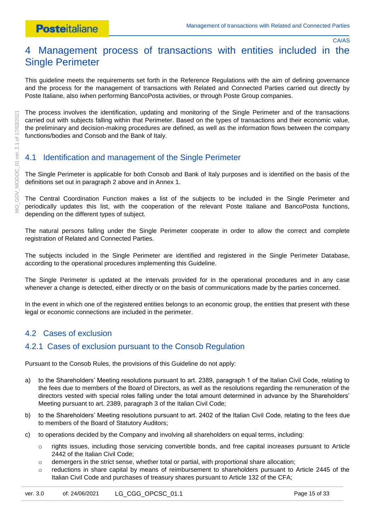# <span id="page-14-0"></span>4 Management process of transactions with entities included in the Single Perimeter

This guideline meets the requirements set forth in the Reference Regulations with the aim of defining governance and the process for the management of transactions with Related and Connected Parties carried out directly by Poste Italiane, also iwhen performing BancoPosta activities, or through Poste Group companies.

The process involves the identification, updating and monitoring of the Single Perimeter and of the transactions carried out with subjects falling within that Perimeter. Based on the types of transactions and their economic value, the preliminary and decision-making procedures are defined, as well as the information flows between the company functions/bodies and Consob and the Bank of Italy.

# <span id="page-14-1"></span>4.1 Identification and management of the Single Perimeter

The Single Perimeter is applicable for both Consob and Bank of Italy purposes and is identified on the basis of the definitions set out in paragraph 2 above and in Annex 1.

The Central Coordination Function makes a list of the subjects to be included in the Single Perimeter and periodically updates this list, with the cooperation of the relevant Poste Italiane and BancoPosta functions, depending on the different types of subject.

The natural persons falling under the Single Perimeter cooperate in order to allow the correct and complete registration of Related and Connected Parties.

The subjects included in the Single Perimeter are identified and registered in the Single Perimeter Database, according to the operational procedures implementing this Guideline.

The Single Perimeter is updated at the intervals provided for in the operational procedures and in any case whenever a change is detected, either directly or on the basis of communications made by the parties concerned.

In the event in which one of the registered entities belongs to an economic group, the entities that present with these legal or economic connections are included in the perimeter.

## <span id="page-14-2"></span>4.2 Cases of exclusion

### <span id="page-14-3"></span>4.2.1 Cases of exclusion pursuant to the Consob Regulation

Pursuant to the Consob Rules, the provisions of this Guideline do not apply:

- a) to the Shareholders' Meeting resolutions pursuant to art. 2389, paragraph 1 of the Italian Civil Code, relating to the fees due to members of the Board of Directors, as well as the resolutions regarding the remuneration of the directors vested with special roles falling under the total amount determined in advance by the Shareholders' Meeting pursuant to art. 2389, paragraph 3 of the Italian Civil Code;
- b) to the Shareholders' Meeting resolutions pursuant to art. 2402 of the Italian Civil Code, relating to the fees due to members of the Board of Statutory Auditors;
- c) to operations decided by the Company and involving all shareholders on equal terms, including:
	- o rights issues, including those servicing convertible bonds, and free capital increases pursuant to Article 2442 of the Italian Civil Code;
	- $\circ$  demergers in the strict sense, whether total or partial, with proportional share allocation;
	- $\circ$  reductions in share capital by means of reimbursement to shareholders pursuant to Article 2445 of the Italian Civil Code and purchases of treasury shares pursuant to Article 132 of the CFA;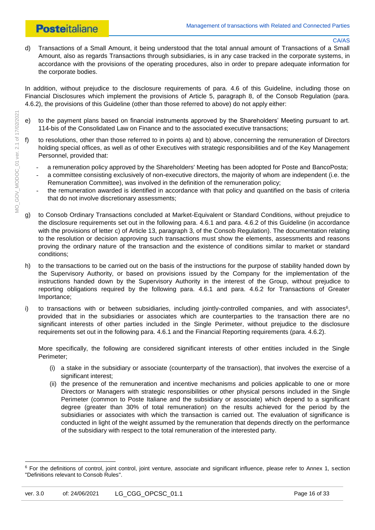# **Posteitaliane**

#### CA/AS

d) Transactions of a Small Amount, it being understood that the total annual amount of Transactions of a Small Amount, also as regards Transactions through subsidiaries, is in any case tracked in the corporate systems, in accordance with the provisions of the operating procedures, also in order to prepare adequate information for the corporate bodies.

In addition, without prejudice to the disclosure requirements of para. 4.6 of this Guideline, including those on Financial Disclosures which implement the provisions of Article 5, paragraph 8, of the Consob Regulation (para. 4.6.2), the provisions of this Guideline (other than those referred to above) do not apply either:

- e) to the payment plans based on financial instruments approved by the Shareholders' Meeting pursuant to art. 114-bis of the Consolidated Law on Finance and to the associated executive transactions;
- f) to resolutions, other than those referred to in points a) and b) above, concerning the remuneration of Directors holding special offices, as well as of other Executives with strategic responsibilities and of the Key Management Personnel, provided that:
	- a remuneration policy approved by the Shareholders' Meeting has been adopted for Poste and BancoPosta;
	- a committee consisting exclusively of non-executive directors, the majority of whom are independent (i.e. the Remuneration Committee), was involved in the definition of the remuneration policy;
	- the remuneration awarded is identified in accordance with that policy and quantified on the basis of criteria that do not involve discretionary assessments;
- g) to Consob Ordinary Transactions concluded at Market-Equivalent or Standard Conditions, without prejudice to the disclosure requirements set out in the following para. 4.6.1 and para. 4.6.2 of this Guideline (in accordance with the provisions of letter c) of Article 13, paragraph 3, of the Consob Regulation). The documentation relating to the resolution or decision approving such transactions must show the elements, assessments and reasons proving the ordinary nature of the transaction and the existence of conditions similar to market or standard conditions;
- h) to the transactions to be carried out on the basis of the instructions for the purpose of stability handed down by the Supervisory Authority, or based on provisions issued by the Company for the implementation of the instructions handed down by the Supervisory Authority in the interest of the Group, without prejudice to reporting obligations required by the following para. 4.6.1 and para. 4.6.2 for Transactions of Greater Importance;
- i) to transactions with or between subsidiaries, including jointly-controlled companies, and with associates $6$ , provided that in the subsidiaries or associates which are counterparties to the transaction there are no significant interests of other parties included in the Single Perimeter, without prejudice to the disclosure requirements set out in the following para. 4.6.1 and the Financial Reporting requirements (para. 4.6.2).

More specifically, the following are considered significant interests of other entities included in the Single Perimeter;

- (i) a stake in the subsidiary or associate (counterparty of the transaction), that involves the exercise of a significant interest;
- (ii) the presence of the remuneration and incentive mechanisms and policies applicable to one or more Directors or Managers with strategic responsibilities or other physical persons included in the Single Perimeter (common to Poste Italiane and the subsidiary or associate) which depend to a significant degree (greater than 30% of total remuneration) on the results achieved for the period by the subsidiaries or associates with which the transaction is carried out. The evaluation of significance is conducted in light of the weight assumed by the remuneration that depends directly on the performance of the subsidiary with respect to the total remuneration of the interested party.

 $6$  For the definitions of control, joint control, joint venture, associate and significant influence, please refer to Annex 1, section "Definitions relevant to Consob Rules".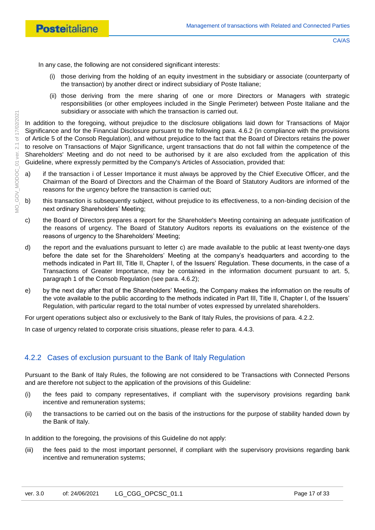In any case, the following are not considered significant interests:

- (i) those deriving from the holding of an equity investment in the subsidiary or associate (counterparty of the transaction) by another direct or indirect subsidiary of Poste Italiane;
- (ii) those deriving from the mere sharing of one or more Directors or Managers with strategic responsibilities (or other employees included in the Single Perimeter) between Poste Italiane and the subsidiary or associate with which the transaction is carried out.

In addition to the foregoing, without prejudice to the disclosure obligations laid down for Transactions of Major Significance and for the Financial Disclosure pursuant to the following para. 4.6.2 (in compliance with the provisions of Article 5 of the Consob Regulation), and without prejudice to the fact that the Board of Directors retains the power to resolve on Transactions of Major Significance, urgent transactions that do not fall within the competence of the Shareholders' Meeting and do not need to be authorised by it are also excluded from the application of this Guideline, where expressly permitted by the Company's Articles of Association, provided that:

- a) if the transaction i of Lesser Importance it must always be approved by the Chief Executive Officer, and the Chairman of the Board of Directors and the Chairman of the Board of Statutory Auditors are informed of the reasons for the urgency before the transaction is carried out;
- b) this transaction is subsequently subject, without prejudice to its effectiveness, to a non-binding decision of the next ordinary Shareholders' Meeting;
- c) the Board of Directors prepares a report for the Shareholder's Meeting containing an adequate justification of the reasons of urgency. The Board of Statutory Auditors reports its evaluations on the existence of the reasons of urgency to the Shareholders' Meeting;
- d) the report and the evaluations pursuant to letter c) are made available to the public at least twenty-one days before the date set for the Shareholders' Meeting at the company's headquarters and according to the methods indicated in Part III, Title II, Chapter I, of the Issuers' Regulation. These documents, in the case of a Transactions of Greater Importance, may be contained in the information document pursuant to art. 5, paragraph 1 of the Consob Regulation (see para. 4.6.2);
- e) by the next day after that of the Shareholders' Meeting, the Company makes the information on the results of the vote available to the public according to the methods indicated in Part III, Title II, Chapter I, of the Issuers' Regulation, with particular regard to the total number of votes expressed by unrelated shareholders.

For urgent operations subject also or exclusively to the Bank of Italy Rules, the provisions of para. 4.2.2.

In case of urgency related to corporate crisis situations, please refer to para. 4.4.3.

# <span id="page-16-0"></span>4.2.2 Cases of exclusion pursuant to the Bank of Italy Regulation

Pursuant to the Bank of Italy Rules, the following are not considered to be Transactions with Connected Persons and are therefore not subject to the application of the provisions of this Guideline:

- (i) the fees paid to company representatives, if compliant with the supervisory provisions regarding bank incentive and remuneration systems;
- (ii) the transactions to be carried out on the basis of the instructions for the purpose of stability handed down by the Bank of Italy.

In addition to the foregoing, the provisions of this Guideline do not apply:

(iii) the fees paid to the most important personnel, if compliant with the supervisory provisions regarding bank incentive and remuneration systems;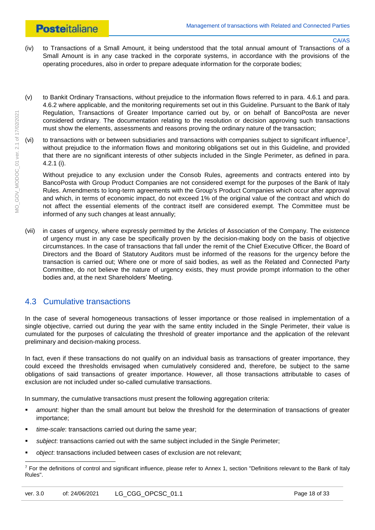# **Posteitaliane**

#### CA/AS

- (iv) to Transactions of a Small Amount, it being understood that the total annual amount of Transactions of a Small Amount is in any case tracked in the corporate systems, in accordance with the provisions of the operating procedures, also in order to prepare adequate information for the corporate bodies;
- (v) to Bankit Ordinary Transactions, without prejudice to the information flows referred to in para. 4.6.1 and para. 4.6.2 where applicable, and the monitoring requirements set out in this Guideline. Pursuant to the Bank of Italy Regulation, Transactions of Greater Importance carried out by, or on behalf of BancoPosta are never considered ordinary. The documentation relating to the resolution or decision approving such transactions must show the elements, assessments and reasons proving the ordinary nature of the transaction;
- (vi) to transactions with or between subsidiaries and transactions with companies subject to significant influence<sup>7</sup>, without prejudice to the information flows and monitoring obligations set out in this Guideline, and provided that there are no significant interests of other subjects included in the Single Perimeter, as defined in para. 4.2.1 (i).

Without prejudice to any exclusion under the Consob Rules, agreements and contracts entered into by BancoPosta with Group Product Companies are not considered exempt for the purposes of the Bank of Italy Rules. Amendments to long-term agreements with the Group's Product Companies which occur after approval and which, in terms of economic impact, do not exceed 1% of the original value of the contract and which do not affect the essential elements of the contract itself are considered exempt. The Committee must be informed of any such changes at least annually;

(vii) in cases of urgency, where expressly permitted by the Articles of Association of the Company. The existence of urgency must in any case be specifically proven by the decision-making body on the basis of objective circumstances. In the case of transactions that fall under the remit of the Chief Executive Officer, the Board of Directors and the Board of Statutory Auditors must be informed of the reasons for the urgency before the transaction is carried out; Where one or more of said bodies, as well as the Related and Connected Party Committee, do not believe the nature of urgency exists, they must provide prompt information to the other bodies and, at the next Shareholders' Meeting.

# <span id="page-17-0"></span>4.3 Cumulative transactions

In the case of several homogeneous transactions of lesser importance or those realised in implementation of a single objective, carried out during the year with the same entity included in the Single Perimeter, their value is cumulated for the purposes of calculating the threshold of greater importance and the application of the relevant preliminary and decision-making process.

In fact, even if these transactions do not qualify on an individual basis as transactions of greater importance, they could exceed the thresholds envisaged when cumulatively considered and, therefore, be subject to the same obligations of said transactions of greater importance. However, all those transactions attributable to cases of exclusion are not included under so-called cumulative transactions.

In summary, the cumulative transactions must present the following aggregation criteria:

- *amount*: higher than the small amount but below the threshold for the determination of transactions of greater importance;
- *time-scale*: transactions carried out during the same year;
- *subject*: transactions carried out with the same subject included in the Single Perimeter;
- *object*: transactions included between cases of exclusion are not relevant;

 $\overline{a}$  $<sup>7</sup>$  For the definitions of control and significant influence, please refer to Annex 1, section "Definitions relevant to the Bank of Italy</sup> Rules".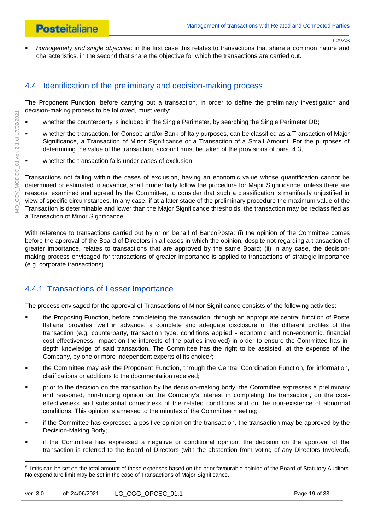- CA/AS
- *homogeneity and single objective*: in the first case this relates to transactions that share a common nature and characteristics, in the second that share the objective for which the transactions are carried out.

# <span id="page-18-0"></span>4.4 Identification of the preliminary and decision-making process

The Proponent Function, before carrying out a transaction, in order to define the preliminary investigation and decision-making process to be followed, must verify:

- whether the counterparty is included in the Single Perimeter, by searching the Single Perimeter DB;
- whether the transaction, for Consob and/or Bank of Italy purposes, can be classified as a Transaction of Major Significance, a Transaction of Minor Significance or a Transaction of a Small Amount. For the purposes of determining the value of the transaction, account must be taken of the provisions of para. 4.3,
- **•** whether the transaction falls under cases of exclusion.

Transactions not falling within the cases of exclusion, having an economic value whose quantification cannot be determined or estimated in advance, shall prudentially follow the procedure for Major Significance, unless there are reasons, examined and agreed by the Committee, to consider that such a classification is manifestly unjustified in view of specific circumstances. In any case, if at a later stage of the preliminary procedure the maximum value of the Transaction is determinable and lower than the Major Significance thresholds, the transaction may be reclassified as a Transaction of Minor Significance.

With reference to transactions carried out by or on behalf of BancoPosta: (i) the opinion of the Committee comes before the approval of the Board of Directors in all cases in which the opinion, despite not regarding a transaction of greater importance, relates to transactions that are approved by the same Board; (ii) in any case, the decisionmaking process envisaged for transactions of greater importance is applied to transactions of strategic importance (e.g. corporate transactions).

# <span id="page-18-1"></span>4.4.1 Transactions of Lesser Importance

The process envisaged for the approval of Transactions of Minor Significance consists of the following activities:

- the Proposing Function, before completeing the transaction, through an appropriate central function of Poste Italiane, provides, well in advance, a complete and adequate disclosure of the different profiles of the transaction (e.g. counterparty, transaction type, conditions applied - economic and non-economic, financial cost-effectiveness, impact on the interests of the parties involved) in order to ensure the Committee has indepth knowledge of said transaction. The Committee has the right to be assisted, at the expense of the Company, by one or more independent experts of its choice<sup>8</sup>;
- the Committee may ask the Proponent Function, through the Central Coordination Function, for information, clarifications or additions to the documentation received;
- prior to the decision on the transaction by the decision-making body, the Committee expresses a preliminary and reasoned, non-binding opinion on the Company's interest in completing the transaction, on the costeffectiveness and substantial correctness of the related conditions and on the non-existence of abnormal conditions. This opinion is annexed to the minutes of the Committee meeting;
- if the Committee has expressed a positive opinion on the transaction, the transaction may be approved by the Decision-Making Body;
- if the Committee has expressed a negative or conditional opinion, the decision on the approval of the transaction is referred to the Board of Directors (with the abstention from voting of any Directors Involved),

<sup>&</sup>lt;sup>8</sup>Limits can be set on the total amount of these expenses based on the prior favourable opinion of the Board of Statutory Auditors. No expenditure limit may be set in the case of Transactions of Major Significance.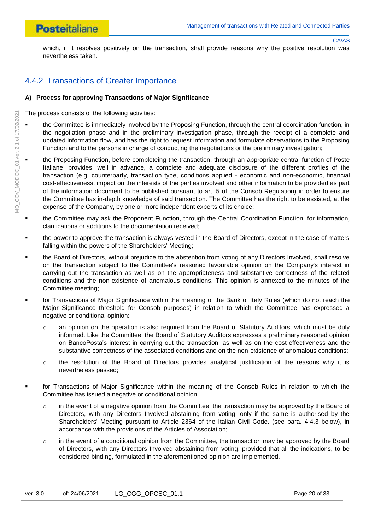which, if it resolves positively on the transaction, shall provide reasons why the positive resolution was nevertheless taken.

# <span id="page-19-0"></span>4.4.2 Transactions of Greater Importance

#### **A) Process for approving Transactions of Major Significance**

The process consists of the following activities:

- the Committee is immediately involved by the Proposing Function, through the central coordination function, in the negotiation phase and in the preliminary investigation phase, through the receipt of a complete and updated information flow, and has the right to request information and formulate observations to the Proposing Function and to the persons in charge of conducting the negotiations or the preliminary investigation;
- the Proposing Function, before completeing the transaction, through an appropriate central function of Poste Italiane, provides, well in advance, a complete and adequate disclosure of the different profiles of the transaction (e.g. counterparty, transaction type, conditions applied - economic and non-economic, financial cost-effectiveness, impact on the interests of the parties involved and other information to be provided as part of the information document to be published pursuant to art. 5 of the Consob Regulation) in order to ensure the Committee has in-depth knowledge of said transaction. The Committee has the right to be assisted, at the expense of the Company, by one or more independent experts of its choice;
- the Committee may ask the Proponent Function, through the Central Coordination Function, for information, clarifications or additions to the documentation received;
- the power to approve the transaction is always vested in the Board of Directors, except in the case of matters falling within the powers of the Shareholders' Meeting;
- the Board of Directors, without prejudice to the abstention from voting of any Directors Involved, shall resolve on the transaction subject to the Committee's reasoned favourable opinion on the Company's interest in carrying out the transaction as well as on the appropriateness and substantive correctness of the related conditions and the non-existence of anomalous conditions. This opinion is annexed to the minutes of the Committee meeting;
- for Transactions of Major Significance within the meaning of the Bank of Italy Rules (which do not reach the Major Significance threshold for Consob purposes) in relation to which the Committee has expressed a negative or conditional opinion:
	- o an opinion on the operation is also required from the Board of Statutory Auditors, which must be duly informed. Like the Committee, the Board of Statutory Auditors expresses a preliminary reasoned opinion on BancoPosta's interest in carrying out the transaction, as well as on the cost-effectiveness and the substantive correctness of the associated conditions and on the non-existence of anomalous conditions;
	- $\circ$  the resolution of the Board of Directors provides analytical iustification of the reasons why it is nevertheless passed;
- for Transactions of Major Significance within the meaning of the Consob Rules in relation to which the Committee has issued a negative or conditional opinion:
	- $\circ$  in the event of a negative opinion from the Committee, the transaction may be approved by the Board of Directors, with any Directors Involved abstaining from voting, only if the same is authorised by the Shareholders' Meeting pursuant to Article 2364 of the Italian Civil Code. (see para. 4.4.3 below), in accordance with the provisions of the Articles of Association;
	- $\circ$  in the event of a conditional opinion from the Committee, the transaction may be approved by the Board of Directors, with any Directors Involved abstaining from voting, provided that all the indications, to be considered binding, formulated in the aforementioned opinion are implemented.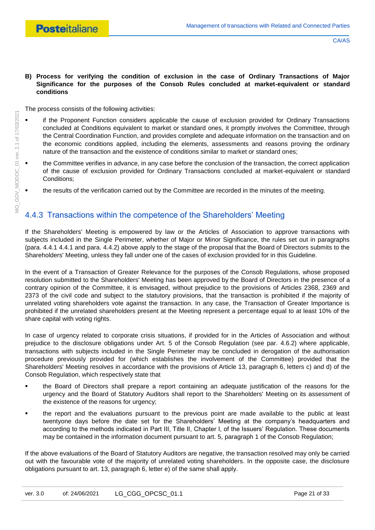#### **B) Process for verifying the condition of exclusion in the case of Ordinary Transactions of Major Significance for the purposes of the Consob Rules concluded at market-equivalent or standard conditions**

The process consists of the following activities:

- **EXECT** if the Proponent Function considers applicable the cause of exclusion provided for Ordinary Transactions concluded at Conditions equivalent to market or standard ones, it promptly involves the Committee, through the Central Coordination Function, and provides complete and adequate information on the transaction and on the economic conditions applied, including the elements, assessments and reasons proving the ordinary nature of the transaction and the existence of conditions similar to market or standard ones;
- the Committee verifies in advance, in any case before the conclusion of the transaction, the correct application of the cause of exclusion provided for Ordinary Transactions concluded at market-equivalent or standard Conditions;
- the results of the verification carried out by the Committee are recorded in the minutes of the meeting.

#### <span id="page-20-0"></span>4.4.3 Transactions within the competence of the Shareholders' Meeting

If the Shareholders' Meeting is empowered by law or the Articles of Association to approve transactions with subjects included in the Single Perimeter, whether of Major or Minor Significance, the rules set out in paragraphs (para. 4.4.1 [4.4.1](#page-18-1) and para. [4.4.2\)](#page-19-0) above apply to the stage of the proposal that the Board of Directors submits to the Shareholders' Meeting, unless they fall under one of the cases of exclusion provided for in this Guideline.

In the event of a Transaction of Greater Relevance for the purposes of the Consob Regulations, whose proposed resolution submitted to the Shareholders' Meeting has been approved by the Board of Directors in the presence of a contrary opinion of the Committee, it is envisaged, without prejudice to the provisions of Articles 2368, 2369 and 2373 of the civil code and subject to the statutory provisions, that the transaction is prohibited if the majority of unrelated voting shareholders vote against the transaction. In any case, the Transaction of Greater Importance is prohibited if the unrelated shareholders present at the Meeting represent a percentage equal to at least 10% of the share capital with voting rights.

In case of urgency related to corporate crisis situations, if provided for in the Articles of Association and without prejudice to the disclosure obligations under Art. 5 of the Consob Regulation (see par. 4.6.2) where applicable, transactions with subjects included in the Single Perimeter may be concluded in derogation of the authorisation procedure previously provided for (which establishes the involvement of the Committee) provided that the Shareholders' Meeting resolves in accordance with the provisions of Article 13, paragraph 6, letters c) and d) of the Consob Regulation, which respectively state that

- the Board of Directors shall prepare a report containing an adequate justification of the reasons for the urgency and the Board of Statutory Auditors shall report to the Shareholders' Meeting on its assessment of the existence of the reasons for urgency;
- the report and the evaluations pursuant to the previous point are made available to the public at least twentyone days before the date set for the Shareholders' Meeting at the company's headquarters and according to the methods indicated in Part III, Title II, Chapter I, of the Issuers' Regulation. These documents may be contained in the information document pursuant to art. 5, paragraph 1 of the Consob Regulation;

If the above evaluations of the Board of Statutory Auditors are negative, the transaction resolved may only be carried out with the favourable vote of the majority of unrelated voting shareholders. In the opposite case, the disclosure obligations pursuant to art. 13, paragraph 6, letter e) of the same shall apply.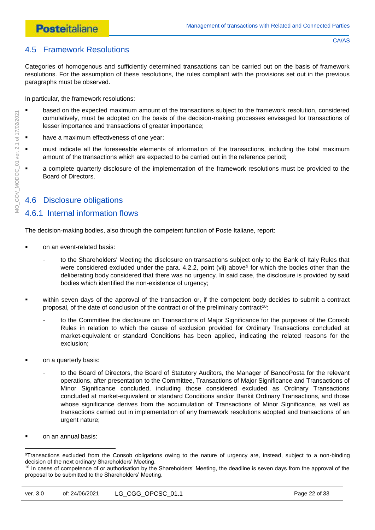# **Posteitaliane**

# <span id="page-21-0"></span>4.5 Framework Resolutions

Categories of homogenous and sufficiently determined transactions can be carried out on the basis of framework resolutions. For the assumption of these resolutions, the rules compliant with the provisions set out in the previous paragraphs must be observed.

In particular, the framework resolutions:

- **•** based on the expected maximum amount of the transactions subject to the framework resolution, considered cumulatively, must be adopted on the basis of the decision-making processes envisaged for transactions of lesser importance and transactions of greater importance;
- **have a maximum effectiveness of one year;**
- must indicate all the foreseeable elements of information of the transactions, including the total maximum amount of the transactions which are expected to be carried out in the reference period;
- a complete quarterly disclosure of the implementation of the framework resolutions must be provided to the Board of Directors.

## <span id="page-21-1"></span>4.6 Disclosure obligations

### <span id="page-21-2"></span>4.6.1 Internal information flows

The decision-making bodies, also through the competent function of Poste Italiane, report:

- on an event-related basis:
	- to the Shareholders' Meeting the disclosure on transactions subject only to the Bank of Italy Rules that were considered excluded under the para.  $4.2.2$ , point (vii) above<sup>9</sup> for which the bodies other than the deliberating body considered that there was no urgency. In said case, the disclosure is provided by said bodies which identified the non-existence of urgency;
- within seven days of the approval of the transaction or, if the competent body decides to submit a contract proposal, of the date of conclusion of the contract or of the preliminary contract<sup>10</sup>:
	- to the Committee the disclosure on Transactions of Major Significance for the purposes of the Consob Rules in relation to which the cause of exclusion provided for Ordinary Transactions concluded at market-equivalent or standard Conditions has been applied, indicating the related reasons for the exclusion;
- on a quarterly basis:
	- to the Board of Directors, the Board of Statutory Auditors, the Manager of BancoPosta for the relevant operations, after presentation to the Committee, Transactions of Major Significance and Transactions of Minor Significance concluded, including those considered excluded as Ordinary Transactions concluded at market-equivalent or standard Conditions and/or Bankit Ordinary Transactions, and those whose significance derives from the accumulation of Transactions of Minor Significance, as well as transactions carried out in implementation of any framework resolutions adopted and transactions of an urgent nature;
- on an annual basis:

<sup>1</sup> 9Transactions excluded from the Consob obligations owing to the nature of urgency are, instead, subject to a non-binding decision of the next ordinary Shareholders' Meeting.

<sup>&</sup>lt;sup>10</sup> In cases of competence of or authorisation by the Shareholders' Meeting, the deadline is seven days from the approval of the proposal to be submitted to the Shareholders' Meeting.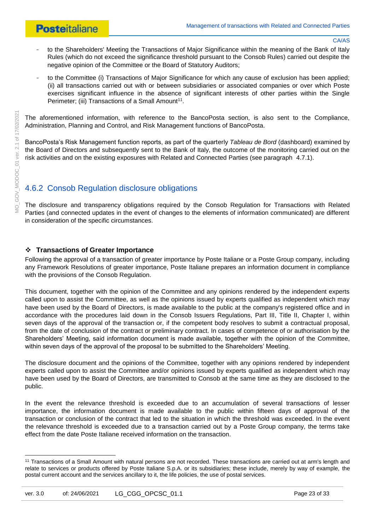- to the Shareholders' Meeting the Transactions of Major Significance within the meaning of the Bank of Italy Rules (which do not exceed the significance threshold pursuant to the Consob Rules) carried out despite the negative opinion of the Committee or the Board of Statutory Auditors;
- to the Committee (i) Transactions of Major Significance for which any cause of exclusion has been applied; (ii) all transactions carried out with or between subsidiaries or associated companies or over which Poste exercises significant influence in the absence of significant interests of other parties within the Single Perimeter; (iii) Transactions of a Small Amount<sup>11</sup>.

The aforementioned information, with reference to the BancoPosta section, is also sent to the Compliance, Administration, Planning and Control, and Risk Management functions of BancoPosta.

BancoPosta's Risk Management function reports, as part of the quarterly *Tableau de Bord* (dashboard) examined by the Board of Directors and subsequently sent to the Bank of Italy, the outcome of the monitoring carried out on the risk activities and on the existing exposures with Related and Connected Parties (see paragraph [4.7.1\)](#page-25-1).

# <span id="page-22-0"></span>4.6.2 Consob Regulation disclosure obligations

The disclosure and transparency obligations required by the Consob Regulation for Transactions with Related Parties (and connected updates in the event of changes to the elements of information communicated) are different in consideration of the specific circumstances.

#### **Transactions of Greater Importance**

Following the approval of a transaction of greater importance by Poste Italiane or a Poste Group company, including any Framework Resolutions of greater importance, Poste Italiane prepares an information document in compliance with the provisions of the Consob Regulation.

This document, together with the opinion of the Committee and any opinions rendered by the independent experts called upon to assist the Committee, as well as the opinions issued by experts qualified as independent which may have been used by the Board of Directors, is made available to the public at the company's registered office and in accordance with the procedures laid down in the Consob Issuers Regulations, Part III, Title II, Chapter I, within seven days of the approval of the transaction or, if the competent body resolves to submit a contractual proposal, from the date of conclusion of the contract or preliminary contract. In cases of competence of or authorisation by the Shareholders' Meeting, said information document is made available, together with the opinion of the Committee, within seven days of the approval of the proposal to be submitted to the Shareholders' Meeting.

The disclosure document and the opinions of the Committee, together with any opinions rendered by independent experts called upon to assist the Committee and/or opinions issued by experts qualified as independent which may have been used by the Board of Directors, are transmitted to Consob at the same time as they are disclosed to the public.

In the event the relevance threshold is exceeded due to an accumulation of several transactions of lesser importance, the information document is made available to the public within fifteen days of approval of the transaction or conclusion of the contract that led to the situation in which the threshold was exceeded. In the event the relevance threshold is exceeded due to a transaction carried out by a Poste Group company, the terms take effect from the date Poste Italiane received information on the transaction.

**.** 

<sup>&</sup>lt;sup>11</sup> Transactions of a Small Amount with natural persons are not recorded. These transactions are carried out at arm's length and relate to services or products offered by Poste Italiane S.p.A. or its subsidiaries; these include, merely by way of example, the postal current account and the services ancillary to it, the life policies, the use of postal services.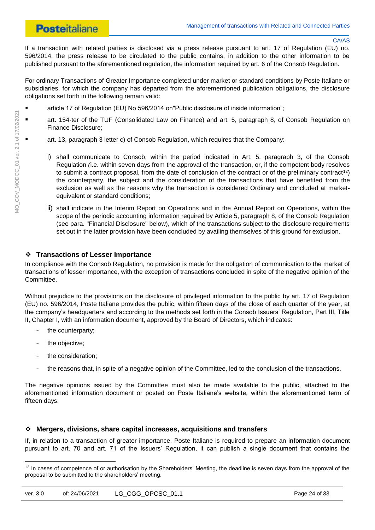# **Posteitaliane**

#### CA/AS

If a transaction with related parties is disclosed via a press release pursuant to art. 17 of Regulation (EU) no. 596/2014, the press release to be circulated to the public contains, in addition to the other information to be published pursuant to the aforementioned regulation, the information required by art. 6 of the Consob Regulation.

For ordinary Transactions of Greater Importance completed under market or standard conditions by Poste Italiane or subsidiaries, for which the company has departed from the aforementioned publication obligations, the disclosure obligations set forth in the following remain valid:

- article 17 of Regulation (EU) No 596/2014 on"Public disclosure of inside information";
- art. 154-ter of the TUF (Consolidated Law on Finance) and art. 5, paragraph 8, of Consob Regulation on Finance Disclosure;
	- art. 13, paragraph 3 letter c) of Consob Regulation, which requires that the Company:
		- i) shall communicate to Consob, within the period indicated in Art. 5, paragraph 3, of the Consob Regulation *(*i.e. within seven days from the approval of the transaction, or, if the competent body resolves to submit a contract proposal, from the date of conclusion of the contract or of the preliminary contract<sup>12</sup>) the counterparty, the subject and the consideration of the transactions that have benefited from the exclusion as well as the reasons why the transaction is considered Ordinary and concluded at marketequivalent or standard conditions;
		- ii) shall indicate in the Interim Report on Operations and in the Annual Report on Operations, within the scope of the periodic accounting information required by Article 5, paragraph 8, of the Consob Regulation (see para. "Financial Disclosure" below), which of the transactions subject to the disclosure requirements set out in the latter provision have been concluded by availing themselves of this ground for exclusion.

#### **Transactions of Lesser Importance**

In compliance with the Consob Regulation, no provision is made for the obligation of communication to the market of transactions of lesser importance, with the exception of transactions concluded in spite of the negative opinion of the Committee.

Without prejudice to the provisions on the disclosure of privileged information to the public by art. 17 of Regulation (EU) no. 596/2014, Poste Italiane provides the public, within fifteen days of the close of each quarter of the year, at the company's headquarters and according to the methods set forth in the Consob Issuers' Regulation, Part III, Title II, Chapter I, with an information document, approved by the Board of Directors, which indicates:

- the counterparty;
- the objective;

 $\overline{a}$ 

- the consideration;
- the reasons that, in spite of a negative opinion of the Committee, led to the conclusion of the transactions.

The negative opinions issued by the Committee must also be made available to the public, attached to the aforementioned information document or posted on Poste Italiane's website, within the aforementioned term of fifteen days.

#### **Mergers, divisions, share capital increases, acquisitions and transfers**

If, in relation to a transaction of greater importance, Poste Italiane is required to prepare an information document pursuant to art. 70 and art. 71 of the Issuers' Regulation, it can publish a single document that contains the

 $12$  In cases of competence of or authorisation by the Shareholders' Meeting, the deadline is seven days from the approval of the proposal to be submitted to the shareholders' meeting.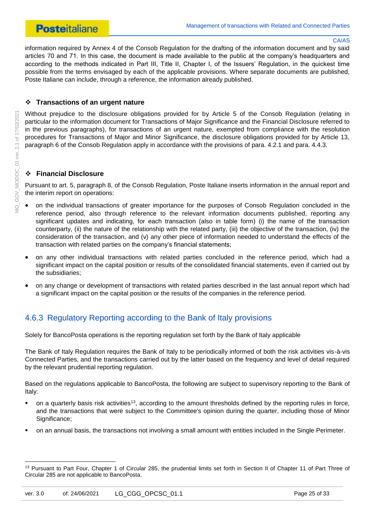information required by Annex 4 of the Consob Regulation for the drafting of the information document and by said articles 70 and 71. In this case, the document is made available to the public at the company's headquarters and according to the methods indicated in Part III, Title II, Chapter I, of the Issuers' Regulation, in the quickest time possible from the terms envisaged by each of the applicable provisions. Where separate documents are published, Poste Italiane can include, through a reference, the information already published.

#### **Transactions of an urgent nature**

Without prejudice to the disclosure obligations provided for by Article 5 of the Consob Regulation (relating in particular to the information document for Transactions of Major Significance and the Financial Disclosure referred to in the previous paragraphs), for transactions of an urgent nature, exempted from compliance with the resolution procedures for Transactions of Major and Minor Significance, the disclosure obligations provided for by Article 13, paragraph 6 of the Consob Regulation apply in accordance with the provisions of para. 4.2.1 and para. 4.4.3.

#### **Financial Disclosure**

Pursuant to art. 5, paragraph 8, of the Consob Regulation, Poste Italiane inserts information in the annual report and the interim report on operations:

- on the individual transactions of greater importance for the purposes of Consob Regulation concluded in the reference period, also through reference to the relevant information documents published, reporting any significant updates and indicating, for each transaction (also in table form) (i) the name of the transaction counterparty, (ii) the nature of the relationship with the related party, (iii) the objective of the transaction, (iv) the consideration of the transaction, and (v) any other piece of information needed to understand the effects of the transaction with related parties on the company's financial statements;
- on any other individual transactions with related parties concluded in the reference period, which had a significant impact on the capital position or results of the consolidated financial statements, even if carried out by the subsidiaries;
- on any change or development of transactions with related parties described in the last annual report which had a significant impact on the capital position or the results of the companies in the reference period.

## <span id="page-24-0"></span>4.6.3 Regulatory Reporting according to the Bank of Italy provisions

Solely for BancoPosta operations is the reporting regulation set forth by the Bank of Italy applicable

The Bank of Italy Regulation requires the Bank of Italy to be periodically informed of both the risk activities vis-à-vis Connected Parties, and the transactions carried out by the latter based on the frequency and level of detail required by the relevant prudential reporting regulation.

Based on the regulations applicable to BancoPosta, the following are subject to supervisory reporting to the Bank of Italy:

- on a quarterly basis risk activities<sup>13</sup>, according to the amount thresholds defined by the reporting rules in force, and the transactions that were subject to the Committee's opinion during the quarter, including those of Minor Significance:
- on an annual basis, the transactions not involving a small amount with entities included in the Single Perimeter.

<sup>&</sup>lt;sup>13</sup> Pursuant to Part Four, Chapter 1 of Circular 285, the prudential limits set forth in Section II of Chapter 11 of Part Three of Circular 285 are not applicable to BancoPosta.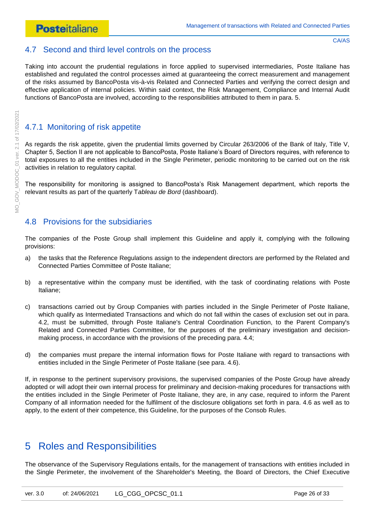### <span id="page-25-0"></span>4.7 Second and third level controls on the process

Taking into account the prudential regulations in force applied to supervised intermediaries, Poste Italiane has established and regulated the control processes aimed at guaranteeing the correct measurement and management of the risks assumed by BancoPosta vis-à-vis Related and Connected Parties and verifying the correct design and effective application of internal policies. Within said context, the Risk Management, Compliance and Internal Audit functions of BancoPosta are involved, according to the responsibilities attributed to them in para. 5.

# <span id="page-25-1"></span>4.7.1 Monitoring of risk appetite

As regards the risk appetite, given the prudential limits governed by Circular 263/2006 of the Bank of Italy, Title V, Chapter 5, Section II are not applicable to BancoPosta, Poste Italiane's Board of Directors requires, with reference to total exposures to all the entities included in the Single Perimeter, periodic monitoring to be carried out on the risk activities in relation to regulatory capital.

The responsibility for monitoring is assigned to BancoPosta's Risk Management department, which reports the relevant results as part of the quarterly T*ableau de Bord* (dashboard).

### <span id="page-25-2"></span>4.8 Provisions for the subsidiaries

The companies of the Poste Group shall implement this Guideline and apply it, complying with the following provisions:

- a) the tasks that the Reference Regulations assign to the independent directors are performed by the Related and Connected Parties Committee of Poste Italiane;
- b) a representative within the company must be identified, with the task of coordinating relations with Poste Italiane;
- c) transactions carried out by Group Companies with parties included in the Single Perimeter of Poste Italiane, which qualify as Intermediated Transactions and which do not fall within the cases of exclusion set out in para. 4.2, must be submitted, through Poste Italiane's Central Coordination Function, to the Parent Company's Related and Connected Parties Committee, for the purposes of the preliminary investigation and decisionmaking process, in accordance with the provisions of the preceding para. 4.4;
- d) the companies must prepare the internal information flows for Poste Italiane with regard to transactions with entities included in the Single Perimeter of Poste Italiane (see para. 4.6).

If, in response to the pertinent supervisory provisions, the supervised companies of the Poste Group have already adopted or will adopt their own internal process for preliminary and decision-making procedures for transactions with the entities included in the Single Perimeter of Poste Italiane, they are, in any case, required to inform the Parent Company of all information needed for the fulfilment of the disclosure obligations set forth in para. 4.6 as well as to apply, to the extent of their competence, this Guideline, for the purposes of the Consob Rules.

# <span id="page-25-3"></span>5 Roles and Responsibilities

The observance of the Supervisory Regulations entails, for the management of transactions with entities included in the Single Perimeter, the involvement of the Shareholder's Meeting, the Board of Directors, the Chief Executive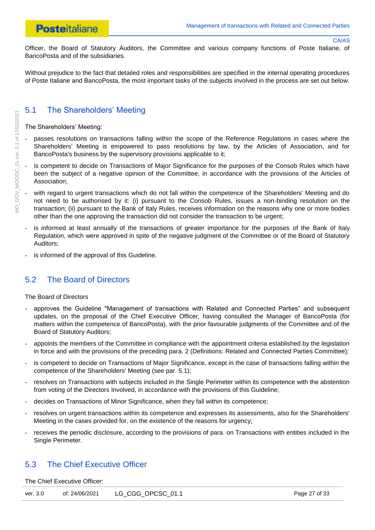Officer, the Board of Statutory Auditors, the Committee and various company functions of Poste Italiane, of BancoPosta and of the subsidiaries.

Without prejudice to the fact that detailed roles and responsibilities are specified in the internal operating procedures of Poste Italiane and BancoPosta, the most important tasks of the subjects involved in the process are set out below.

# <span id="page-26-0"></span>5.1 The Shareholders' Meeting

The Shareholders' Meeting:

- passes resolutions on transactions falling within the scope of the Reference Regulations in cases where the Shareholders' Meeting is empowered to pass resolutions by law, by the Articles of Association, and for BancoPosta's business by the supervisory provisions applicable to it;
- is competent to decide on Transactions of Major Significance for the purposes of the Consob Rules which have been the subject of a negative opinion of the Committee, in accordance with the provisions of the Articles of Association;
- with regard to urgent transactions which do not fall within the competence of the Shareholders' Meeting and do not need to be authorised by it: (i) pursuant to the Consob Rules, issues a non-binding resolution on the transaction; (ii) pursuant to the Bank of Italy Rules, receives information on the reasons why one or more bodies other than the one approving the transaction did not consider the transaction to be urgent;
- is informed at least annually of the transactions of greater importance for the purposes of the Bank of Italy Regulation, which were approved in spite of the negative judgment of the Committee or of the Board of Statutory Auditors;
- is informed of the approval of this Guideline.

## <span id="page-26-1"></span>5.2 The Board of Directors

#### The Board of Directors

- approves the Guideline "Management of transactions with Related and Connected Parties" and subsequent updates, on the proposal of the Chief Executive Officer, having consulted the Manager of BancoPosta (for matters within the competence of BancoPosta), with the prior favourable judgments of the Committee and of the Board of Statutory Auditors;
- appoints the members of the Committee in compliance with the appointment criteria established by the legislation in force and with the provisions of the preceding para. 2 (Definitions: Related and Connected Parties Committee);
- is competent to decide on Transactions of Major Significance, except in the case of transactions falling within the competence of the Shareholders' Meeting (see par. 5.1);
- resolves on Transactions with subjects included in the Single Perimeter within its competence with the abstention from voting of the Directors Involved, in accordance with the provisions of this Guideline;
- decides on Transactions of Minor Significance, when they fall within its competence;
- resolves on urgent transactions within its competence and expresses its assessments, also for the Shareholders' Meeting in the cases provided for, on the existence of the reasons for urgency;
- receives the periodic disclosure, according to the provisions of para. on Transactions with entities included in the Single Perimeter.

### <span id="page-26-2"></span>5.3 The Chief Executive Officer

The Chief Executive Officer:

| ver. 3.0 | of: 24/06/2021 | LG_CGG_OPCSC_01.1 | Page 27 of 33 |
|----------|----------------|-------------------|---------------|
|----------|----------------|-------------------|---------------|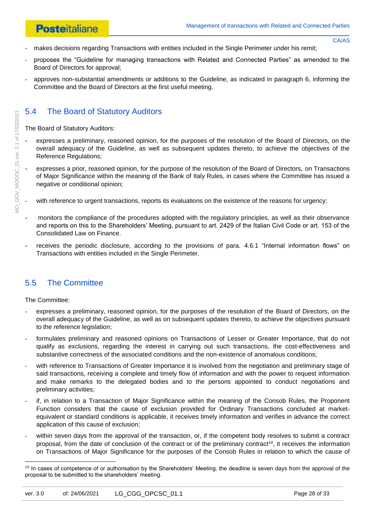- CA/AS
- makes decisions regarding Transactions with entities included in the Single Perimeter under his remit;
- proposes the "Guideline for managing transactions with Related and Connected Parties" as amended to the Board of Directors for approval;
- approves non-substantial amendments or additions to the Guideline, as indicated in paragraph 6, informing the Committee and the Board of Directors at the first useful meeting.

# <span id="page-27-0"></span>5.4 The Board of Statutory Auditors

The Board of Statutory Auditors:

- expresses a preliminary, reasoned opinion, for the purposes of the resolution of the Board of Directors, on the overall adequacy of the Guideline, as well as subsequent updates thereto, to achieve the objectives of the Reference Regulations;
- expresses a prior, reasoned opinion, for the purpose of the resolution of the Board of Directors, on Transactions of Major Significance within the meaning of the Bank of Italy Rules, in cases where the Committee has issued a negative or conditional opinion;
- with reference to urgent transactions, reports its evaluations on the existence of the reasons for urgency;
- monitors the compliance of the procedures adopted with the regulatory principles, as well as their observance and reports on this to the Shareholders' Meeting, pursuant to art. 2429 of the Italian Civil Code or art. 153 of the Consolidated Law on Finance.
- receives the periodic disclosure, according to the provisions of para. [4.6.1](#page-21-2) "Internal information flows" on Transactions with entities included in the Single Perimeter.

# <span id="page-27-1"></span>5.5 The Committee

The Committee:

- expresses a preliminary, reasoned opinion, for the purposes of the resolution of the Board of Directors, on the overall adequacy of the Guideline, as well as on subsequent updates thereto, to achieve the objectives pursuant to the reference legislation;
- formulates preliminary and reasoned opinions on Transactions of Lesser or Greater Importance, that do not qualify as exclusions, regarding the interest in carrying out such transactions, the cost-effectiveness and substantive correctness of the associated conditions and the non-existence of anomalous conditions;
- with reference to Transactions of Greater Importance it is involved from the negotiation and preliminary stage of said transactions, receiving a complete and timely flow of information and with the power to request information and make remarks to the delegated bodies and to the persons appointed to conduct negotiations and preliminary activities;
- if, in relation to a Transaction of Major Significance within the meaning of the Consob Rules, the Proponent Function considers that the cause of exclusion provided for Ordinary Transactions concluded at marketequivalent or standard conditions is applicable, it receives timely information and verifies in advance the correct application of this cause of exclusion;
- within seven days from the approval of the transaction, or, if the competent body resolves to submit a contract proposal, from the date of conclusion of the contract or of the preliminary contract<sup>14</sup>, it receives the information on Transactions of Major Significance for the purposes of the Consob Rules in relation to which the cause of

<sup>&</sup>lt;sup>14</sup> In cases of competence of or authorisation by the Shareholders' Meeting, the deadline is seven days from the approval of the proposal to be submitted to the shareholders' meeting.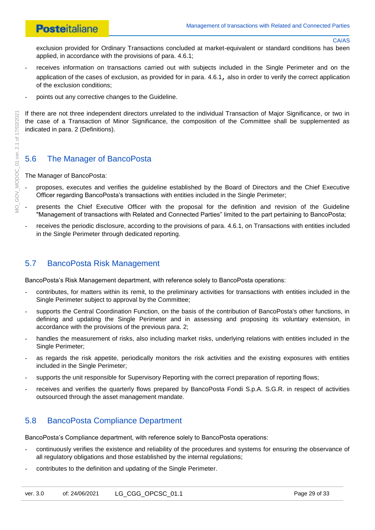exclusion provided for Ordinary Transactions concluded at market-equivalent or standard conditions has been applied, in accordance with the provisions of para. [4.6.1;](#page-21-2)

- receives information on transactions carried out with subjects included in the Single Perimeter and on the application of the cases of exclusion, as provided for in para. [4.6.1](#page-21-2), also in order to verify the correct application of the exclusion conditions;
- points out any corrective changes to the Guideline.

If there are not three independent directors unrelated to the individual Transaction of Major Significance, or two in the case of a Transaction of Minor Significance, the composition of the Committee shall be supplemented as indicated in para. 2 (Definitions).

## <span id="page-28-0"></span>5.6 The Manager of BancoPosta

#### The Manager of BancoPosta:

- proposes, executes and verifies the guideline established by the Board of Directors and the Chief Executive Officer regarding BancoPosta's transactions with entities included in the Single Perimeter;
- presents the Chief Executive Officer with the proposal for the definition and revision of the Guideline "Management of transactions with Related and Connected Parties" limited to the part pertaining to BancoPosta;
- receives the periodic disclosure, according to the provisions of para. [4.6.1,](#page-21-2) on Transactions with entities included in the Single Perimeter through dedicated reporting.

### <span id="page-28-1"></span>5.7 BancoPosta Risk Management

BancoPosta's Risk Management department, with reference solely to BancoPosta operations:

- contributes, for matters within its remit, to the preliminary activities for transactions with entities included in the Single Perimeter subject to approval by the Committee;
- supports the Central Coordination Function, on the basis of the contribution of BancoPosta's other functions, in defining and updating the Single Perimeter and in assessing and proposing its voluntary extension, in accordance with the provisions of the previous para. 2;
- handles the measurement of risks, also including market risks, underlying relations with entities included in the Single Perimeter;
- as regards the risk appetite, periodically monitors the risk activities and the existing exposures with entities included in the Single Perimeter;
- supports the unit responsible for Supervisory Reporting with the correct preparation of reporting flows;
- receives and verifies the quarterly flows prepared by BancoPosta Fondi S.p.A. S.G.R. in respect of activities outsourced through the asset management mandate.

## <span id="page-28-2"></span>5.8 BancoPosta Compliance Department

BancoPosta's Compliance department, with reference solely to BancoPosta operations:

- continuously verifies the existence and reliability of the procedures and systems for ensuring the observance of all regulatory obligations and those established by the internal regulations;
- contributes to the definition and updating of the Single Perimeter.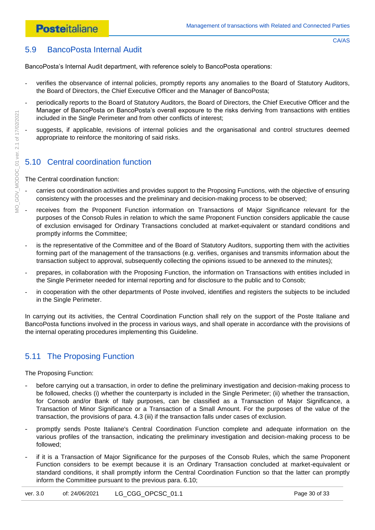<span id="page-29-0"></span>BancoPosta's Internal Audit department, with reference solely to BancoPosta operations:

- verifies the observance of internal policies, promptly reports any anomalies to the Board of Statutory Auditors, the Board of Directors, the Chief Executive Officer and the Manager of BancoPosta;
- periodically reports to the Board of Statutory Auditors, the Board of Directors, the Chief Executive Officer and the Manager of BancoPosta on BancoPosta's overall exposure to the risks deriving from transactions with entities included in the Single Perimeter and from other conflicts of interest;
- suggests, if applicable, revisions of internal policies and the organisational and control structures deemed appropriate to reinforce the monitoring of said risks.

# <span id="page-29-1"></span>5.10 Central coordination function

The Central coordination function:

- carries out coordination activities and provides support to the Proposing Functions, with the objective of ensuring consistency with the processes and the preliminary and decision-making process to be observed;
- receives from the Proponent Function information on Transactions of Major Significance relevant for the purposes of the Consob Rules in relation to which the same Proponent Function considers applicable the cause of exclusion envisaged for Ordinary Transactions concluded at market-equivalent or standard conditions and promptly informs the Committee;
- is the representative of the Committee and of the Board of Statutory Auditors, supporting them with the activities forming part of the management of the transactions (e.g. verifies, organises and transmits information about the transaction subject to approval, subsequently collecting the opinions issued to be annexed to the minutes);
- prepares, in collaboration with the Proposing Function, the information on Transactions with entities included in the Single Perimeter needed for internal reporting and for disclosure to the public and to Consob;
- in cooperation with the other departments of Poste involved, identifies and registers the subjects to be included in the Single Perimeter.

In carrying out its activities, the Central Coordination Function shall rely on the support of the Poste Italiane and BancoPosta functions involved in the process in various ways, and shall operate in accordance with the provisions of the internal operating procedures implementing this Guideline.

# <span id="page-29-2"></span>5.11 The Proposing Function

The Proposing Function:

- before carrying out a transaction, in order to define the preliminary investigation and decision-making process to be followed, checks (i) whether the counterparty is included in the Single Perimeter; (ii) whether the transaction, for Consob and/or Bank of Italy purposes, can be classified as a Transaction of Major Significance, a Transaction of Minor Significance or a Transaction of a Small Amount. For the purposes of the value of the transaction, the provisions of para. 4.3 (iii) if the transaction falls under cases of exclusion.
- promptly sends Poste Italiane's Central Coordination Function complete and adequate information on the various profiles of the transaction, indicating the preliminary investigation and decision-making process to be followed;
- if it is a Transaction of Major Significance for the purposes of the Consob Rules, which the same Proponent Function considers to be exempt because it is an Ordinary Transaction concluded at market-equivalent or standard conditions, it shall promptly inform the Central Coordination Function so that the latter can promptly inform the Committee pursuant to the previous para. 6.10;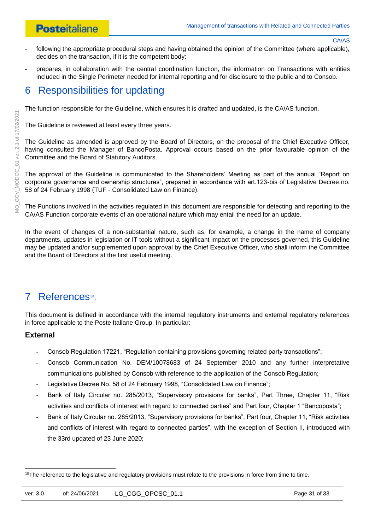- following the appropriate procedural steps and having obtained the opinion of the Committee (where applicable), decides on the transaction, if it is the competent body;
- prepares, in collaboration with the central coordination function, the information on Transactions with entities included in the Single Perimeter needed for internal reporting and for disclosure to the public and to Consob.

# <span id="page-30-0"></span>6 Responsibilities for updating

The function responsible for the Guideline, which ensures it is drafted and updated, is the CA/AS function.

The Guideline is reviewed at least every three years.

The Guideline as amended is approved by the Board of Directors, on the proposal of the Chief Executive Officer, having consulted the Manager of BancoPosta. Approval occurs based on the prior favourable opinion of the Committee and the Board of Statutory Auditors.

The approval of the Guideline is communicated to the Shareholders' Meeting as part of the annual "Report on corporate governance and ownership structures", prepared in accordance with art.123-bis of Legislative Decree no. 58 of 24 February 1998 (TUF - Consolidated Law on Finance).

The Functions involved in the activities regulated in this document are responsible for detecting and reporting to the CA/AS Function corporate events of an operational nature which may entail the need for an update.

In the event of changes of a non-substantial nature, such as, for example, a change in the name of company departments, updates in legislation or IT tools without a significant impact on the processes governed, this Guideline may be updated and/or supplemented upon approval by the Chief Executive Officer, who shall inform the Committee and the Board of Directors at the first useful meeting.

# <span id="page-30-1"></span>7 References<sup>15</sup>.

This document is defined in accordance with the internal regulatory instruments and external regulatory references in force applicable to the Poste Italiane Group. In particular:

### **External**

- Consob Regulation 17221, "Regulation containing provisions governing related party transactions";
- Consob Communication No. DEM/10078683 of 24 September 2010 and any further interpretative communications published by Consob with reference to the application of the Consob Regulation;
- Legislative Decree No. 58 of 24 February 1998, "Consolidated Law on Finance";
- Bank of Italy Circular no. 285/2013, "Supervisory provisions for banks", Part Three, Chapter 11, "Risk activities and conflicts of interest with regard to connected parties" and Part four, Chapter 1 "Bancoposta";
- Bank of Italy Circular no. 285/2013, "Supervisory provisions for banks", Part four, Chapter 11, "Risk activities and conflicts of interest with regard to connected parties", with the exception of Section II, introduced with the 33rd updated of 23 June 2020;

**<sup>.</sup>** <sup>15</sup>The reference to the legislative and regulatory provisions must relate to the provisions in force from time to time.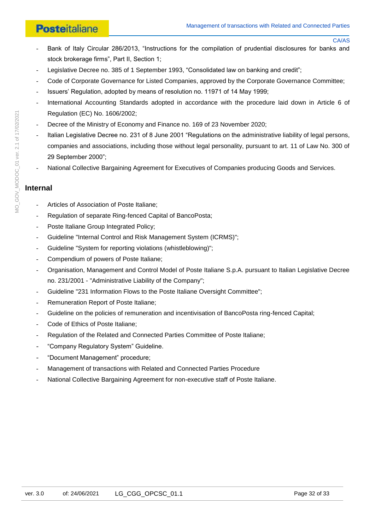# **Posteitaliane**

- Bank of Italy Circular 286/2013, "Instructions for the compilation of prudential disclosures for banks and stock brokerage firms", Part II, Section 1;
- Legislative Decree no. 385 of 1 September 1993, "Consolidated law on banking and credit";
- Code of Corporate Governance for Listed Companies, approved by the Corporate Governance Committee;
- Issuers' Regulation, adopted by means of resolution no. 11971 of 14 May 1999;
- International Accounting Standards adopted in accordance with the procedure laid down in Article 6 of Regulation (EC) No. 1606/2002;
- Decree of the Ministry of Economy and Finance no. 169 of 23 November 2020;
- Italian Legislative Decree no. 231 of 8 June 2001 "Regulations on the administrative liability of legal persons, companies and associations, including those without legal personality, pursuant to art. 11 of Law No. 300 of 29 September 2000";
- National Collective Bargaining Agreement for Executives of Companies producing Goods and Services.

#### **Internal**

- Articles of Association of Poste Italiane:
- Regulation of separate Ring-fenced Capital of BancoPosta;
- Poste Italiane Group Integrated Policy:
- Guideline "Internal Control and Risk Management System (ICRMS)";
- Guideline "System for reporting violations (whistleblowing)";
- Compendium of powers of Poste Italiane;
- Organisation, Management and Control Model of Poste Italiane S.p.A. pursuant to Italian Legislative Decree no. 231/2001 - "Administrative Liability of the Company";
- Guideline "231 Information Flows to the Poste Italiane Oversight Committee";
- Remuneration Report of Poste Italiane;
- Guideline on the policies of remuneration and incentivisation of BancoPosta ring-fenced Capital;
- Code of Ethics of Poste Italiane;
- Regulation of the Related and Connected Parties Committee of Poste Italiane;
- "Company Regulatory System" Guideline.
- "Document Management" procedure;
- Management of transactions with Related and Connected Parties Procedure
- National Collective Bargaining Agreement for non-executive staff of Poste Italiane.